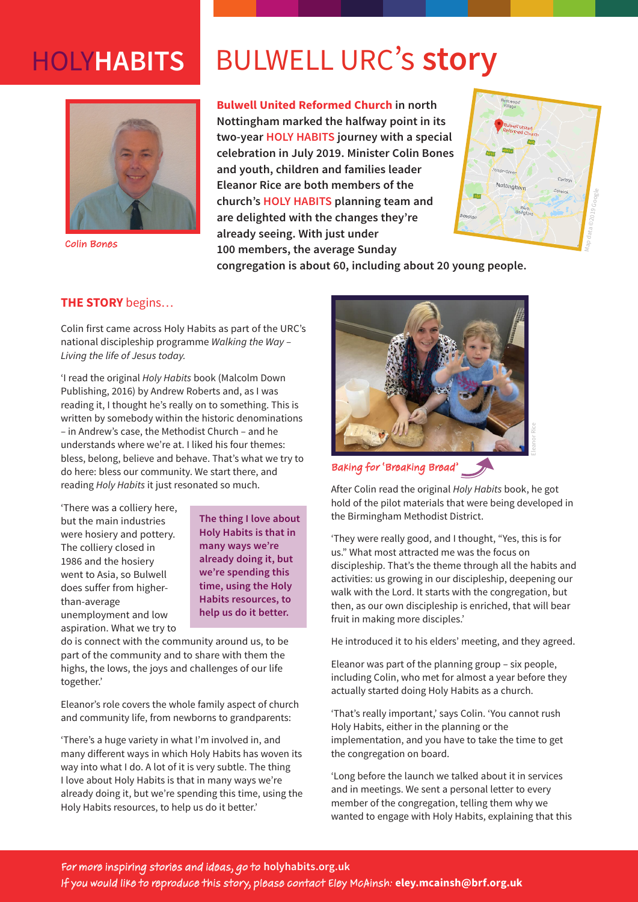## HOLY**HABITS**



Colin Bones

# BULWELL URC's **story**

**Bulwell United Reformed Church in north Nottingham marked the halfway point in its two-year HOLY HABITS journey with a special celebration in July 2019. Minister Colin Bones and youth, children and families leader Eleanor Rice are both members of the church's HOLY HABITS planning team and are delighted with the changes they're already seeing. With just under 100 members, the average Sunday** 



**congregation is about 60, including about 20 young people.** 

### **THE STORY** begins…

Colin first came across Holy Habits as part of the URC's national discipleship programme *Walking the Way – Living the life of Jesus today.*

'I read the original *Holy Habits* book (Malcolm Down Publishing, 2016) by Andrew Roberts and, as I was reading it, I thought he's really on to something. This is written by somebody within the historic denominations – in Andrew's case, the Methodist Church – and he understands where we're at. I liked his four themes: bless, belong, believe and behave. That's what we try to do here: bless our community. We start there, and reading *Holy Habits* it just resonated so much.

'There was a colliery here, but the main industries were hosiery and pottery. The colliery closed in 1986 and the hosiery went to Asia, so Bulwell does suffer from higherthan-average unemployment and low aspiration. What we try to

**The thing I love about Holy Habits is that in many ways we're already doing it, but we're spending this time, using the Holy Habits resources, to help us do it better.**

do is connect with the community around us, to be part of the community and to share with them the highs, the lows, the joys and challenges of our life together.'

Eleanor's role covers the whole family aspect of church and community life, from newborns to grandparents:

'There's a huge variety in what I'm involved in, and many different ways in which Holy Habits has woven its way into what I do. A lot of it is very subtle. The thing I love about Holy Habits is that in many ways we're already doing it, but we're spending this time, using the Holy Habits resources, to help us do it better.'



Baking for 'Breaking Bread'

After Colin read the original *Holy Habits* book, he got hold of the pilot materials that were being developed in the Birmingham Methodist District.

'They were really good, and I thought, "Yes, this is for us." What most attracted me was the focus on discipleship. That's the theme through all the habits and activities: us growing in our discipleship, deepening our walk with the Lord. It starts with the congregation, but then, as our own discipleship is enriched, that will bear fruit in making more disciples.'

He introduced it to his elders' meeting, and they agreed.

Eleanor was part of the planning group – six people, including Colin, who met for almost a year before they actually started doing Holy Habits as a church.

'That's really important,' says Colin. 'You cannot rush Holy Habits, either in the planning or the implementation, and you have to take the time to get the congregation on board.

'Long before the launch we talked about it in services and in meetings. We sent a personal letter to every member of the congregation, telling them why we wanted to engage with Holy Habits, explaining that this